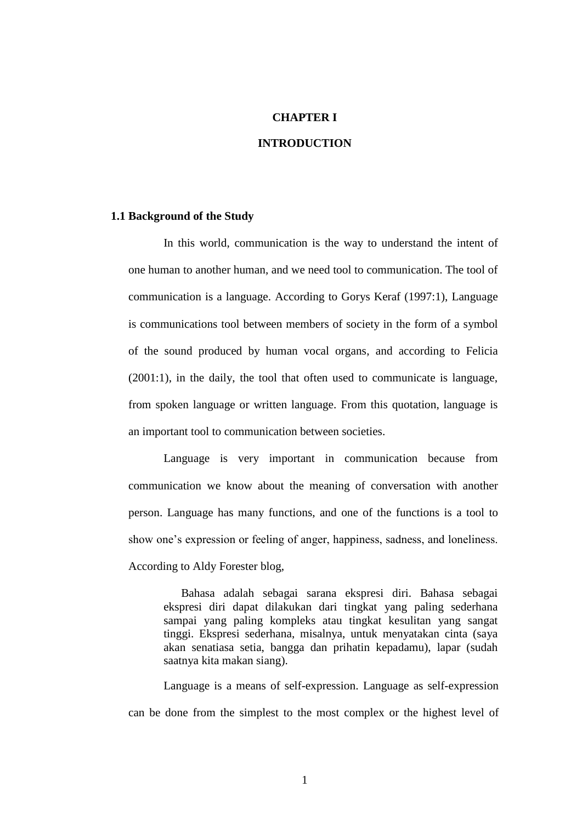## **CHAPTER I**

#### **INTRODUCTION**

## **1.1 Background of the Study**

In this world, communication is the way to understand the intent of one human to another human, and we need tool to communication. The tool of communication is a language. According to Gorys Keraf (1997:1), Language is communications tool between members of society in the form of a symbol of the sound produced by human vocal organs, and according to Felicia (2001:1), in the daily, the tool that often used to communicate is language, from spoken language or written language. From this quotation, language is an important tool to communication between societies.

Language is very important in communication because from communication we know about the meaning of conversation with another person. Language has many functions, and one of the functions is a tool to show one's expression or feeling of anger, happiness, sadness, and loneliness. According to Aldy Forester blog,

Bahasa adalah sebagai sarana ekspresi diri. Bahasa sebagai ekspresi diri dapat dilakukan dari tingkat yang paling sederhana sampai yang paling kompleks atau tingkat kesulitan yang sangat tinggi. Ekspresi sederhana, misalnya, untuk menyatakan cinta (saya akan senatiasa setia, bangga dan prihatin kepadamu), lapar (sudah saatnya kita makan siang).

Language is a means of self-expression. Language as self-expression can be done from the simplest to the most complex or the highest level of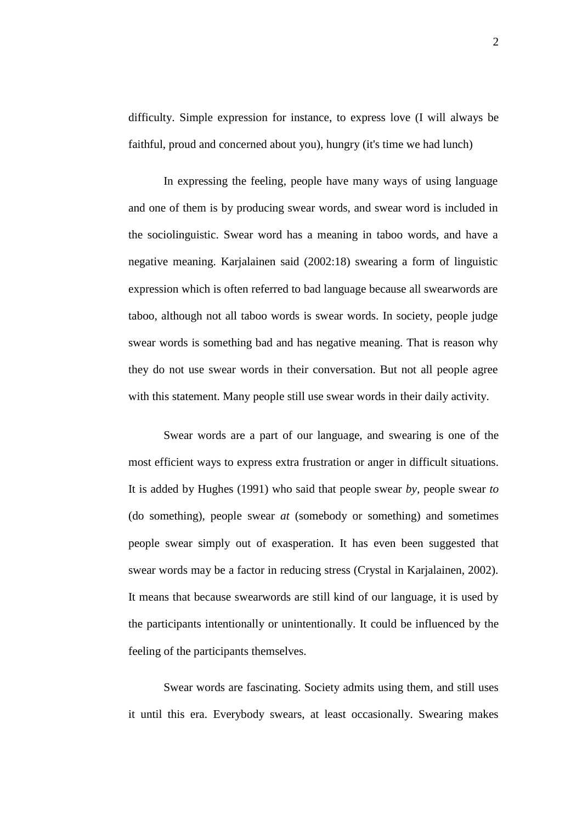difficulty. Simple expression for instance, to express love (I will always be faithful, proud and concerned about you), hungry (it's time we had lunch)

In expressing the feeling, people have many ways of using language and one of them is by producing swear words, and swear word is included in the sociolinguistic. Swear word has a meaning in taboo words, and have a negative meaning. Karjalainen said (2002:18) swearing a form of linguistic expression which is often referred to bad language because all swearwords are taboo, although not all taboo words is swear words. In society, people judge swear words is something bad and has negative meaning. That is reason why they do not use swear words in their conversation. But not all people agree with this statement. Many people still use swear words in their daily activity.

Swear words are a part of our language, and swearing is one of the most efficient ways to express extra frustration or anger in difficult situations. It is added by Hughes (1991) who said that people swear *by,* people swear *to*  (do something), people swear *at* (somebody or something) and sometimes people swear simply out of exasperation. It has even been suggested that swear words may be a factor in reducing stress (Crystal in Karjalainen, 2002). It means that because swearwords are still kind of our language, it is used by the participants intentionally or unintentionally. It could be influenced by the feeling of the participants themselves.

Swear words are fascinating. Society admits using them, and still uses it until this era. Everybody swears, at least occasionally. Swearing makes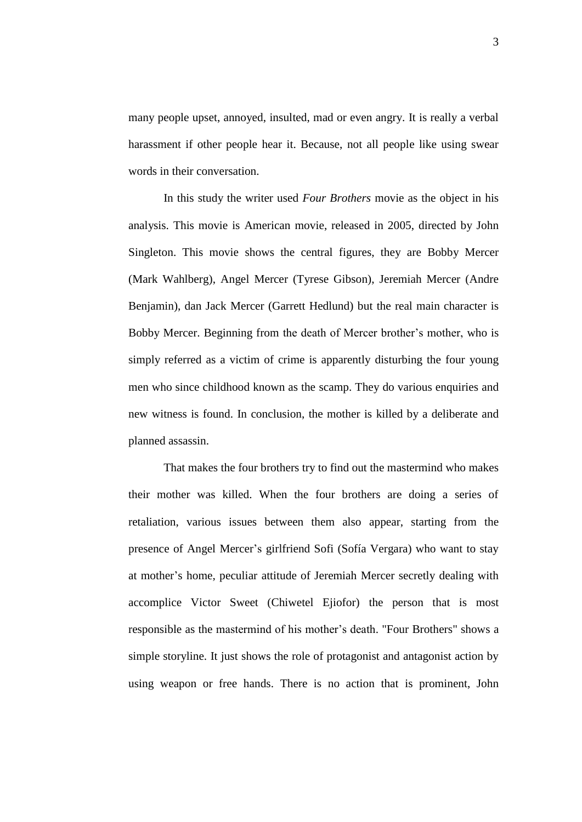many people upset, annoyed, insulted, mad or even angry. It is really a verbal harassment if other people hear it. Because, not all people like using swear words in their conversation.

In this study the writer used *Four Brothers* movie as the object in his analysis. This movie is American movie, released in 2005, directed by John Singleton. This movie shows the central figures, they are Bobby Mercer (Mark Wahlberg), Angel Mercer (Tyrese Gibson), Jeremiah Mercer (Andre Benjamin), dan Jack Mercer (Garrett Hedlund) but the real main character is Bobby Mercer. Beginning from the death of Mercer brother's mother, who is simply referred as a victim of crime is apparently disturbing the four young men who since childhood known as the scamp. They do various enquiries and new witness is found. In conclusion, the mother is killed by a deliberate and planned assassin.

That makes the four brothers try to find out the mastermind who makes their mother was killed. When the four brothers are doing a series of retaliation, various issues between them also appear, starting from the presence of Angel Mercer's girlfriend Sofi (Sofía Vergara) who want to stay at mother's home, peculiar attitude of Jeremiah Mercer secretly dealing with accomplice Victor Sweet (Chiwetel Ejiofor) the person that is most responsible as the mastermind of his mother's death. "Four Brothers" shows a simple storyline. It just shows the role of protagonist and antagonist action by using weapon or free hands. There is no action that is prominent, John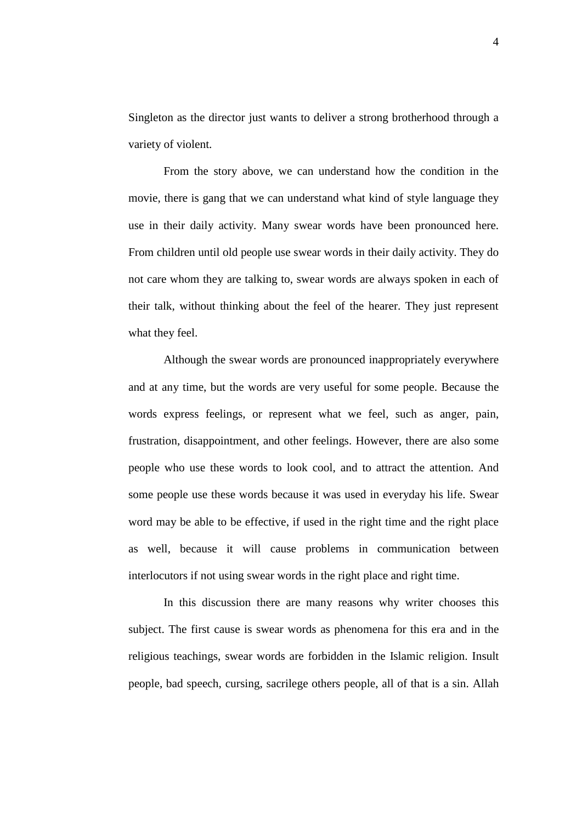Singleton as the director just wants to deliver a strong brotherhood through a variety of violent.

From the story above, we can understand how the condition in the movie, there is gang that we can understand what kind of style language they use in their daily activity. Many swear words have been pronounced here. From children until old people use swear words in their daily activity. They do not care whom they are talking to, swear words are always spoken in each of their talk, without thinking about the feel of the hearer. They just represent what they feel.

Although the swear words are pronounced inappropriately everywhere and at any time, but the words are very useful for some people. Because the words express feelings, or represent what we feel, such as anger, pain, frustration, disappointment, and other feelings. However, there are also some people who use these words to look cool, and to attract the attention. And some people use these words because it was used in everyday his life. Swear word may be able to be effective, if used in the right time and the right place as well, because it will cause problems in communication between interlocutors if not using swear words in the right place and right time.

In this discussion there are many reasons why writer chooses this subject. The first cause is swear words as phenomena for this era and in the religious teachings, swear words are forbidden in the Islamic religion. Insult people, bad speech, cursing, sacrilege others people, all of that is a sin. Allah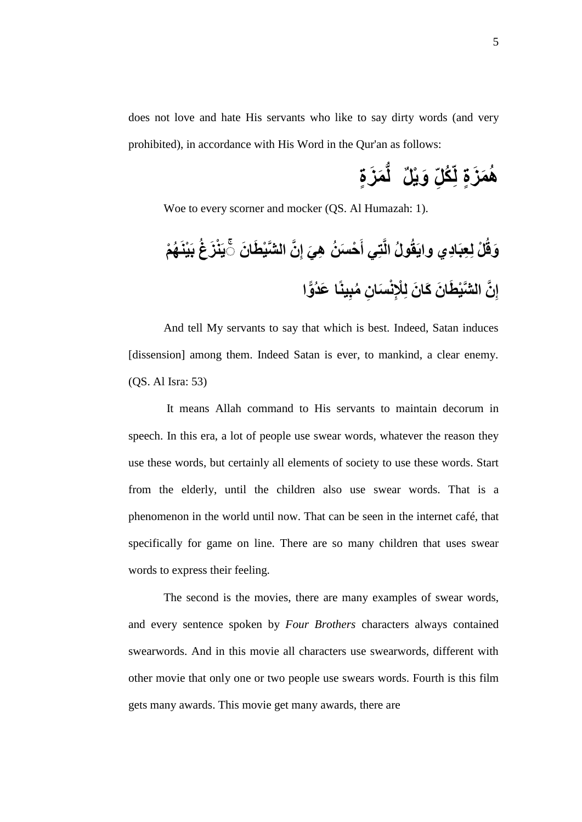does not love and hate His servants who like to say dirty words (and very prohibited), in accordance with His Word in the Qur'an as follows:

> **َة َز ُّم ِّك لم َة َز ُم ٍ ٌ َة َز ُّم ٍل** ر<br>ک

Woe to every scorner and mocker (QS. Al Humazah: 1).

**ِّن َي َْ َزهَ َه َزيِّ ُزَ اش ٍَ انَز ََّْ َش َي َه ِّش ٌ َح َّ َ َم ٍ دََّْ عل ةَزَلِّة ِّم ٍَاَّ ح َ َةلِّ ةَ زهعَّ ًَعِّ ُ ش ِّةْ َه َهَّ اش ٍَ انَز ََّْ َش َكَّ َش ٍَن َّ**

And tell My servants to say that which is best. Indeed, Satan induces [dissension] among them. Indeed Satan is ever, to mankind, a clear enemy. (QS. Al Isra: 53)

It means Allah command to His servants to maintain decorum in speech. In this era, a lot of people use swear words, whatever the reason they use these words, but certainly all elements of society to use these words. Start from the elderly, until the children also use swear words. That is a phenomenon in the world until now. That can be seen in the internet café, that specifically for game on line. There are so many children that uses swear words to express their feeling.

The second is the movies, there are many examples of swear words, and every sentence spoken by *Four Brothers* characters always contained swearwords. And in this movie all characters use swearwords, different with other movie that only one or two people use swears words. Fourth is this film gets many awards. This movie get many awards, there are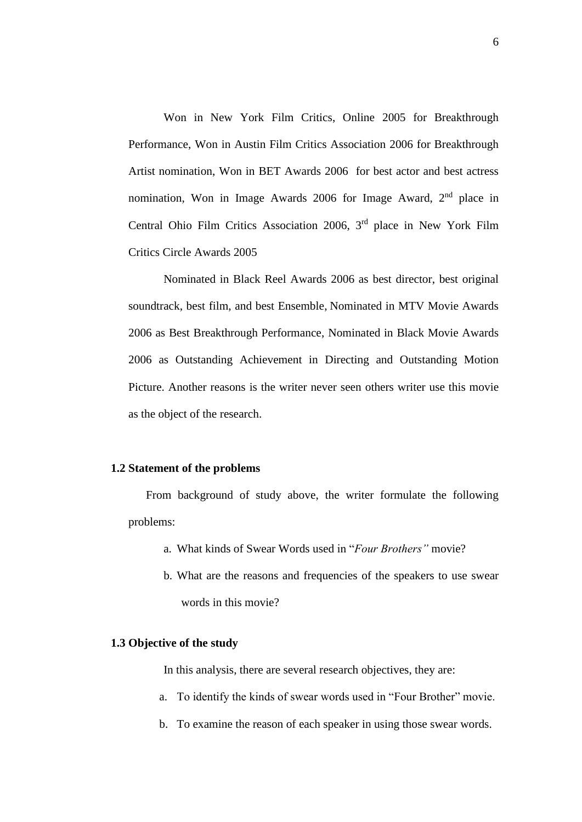Won in New York Film Critics, Online [2005 f](http://www.imdb.com/event/ev0001986/2005?ref_=ttawd_ev_9)or Breakthrough Performance, Won in Austin Film Critics Association [2006 f](http://www.imdb.com/event/ev0001375/2006?ref_=ttawd_ev_1)or Breakthrough Artist nomination, Won in BET Awards [2006](http://www.imdb.com/event/ev0000101/2006?ref_=ttawd_ev_2) for best actor and best actress nomination, Won in Image Awards [2006 f](http://www.imdb.com/event/ev0000345/2006?ref_=ttawd_ev_6)or Image Award, 2<sup>nd</sup> place in Central Ohio Film Critics Association [2006,](http://www.imdb.com/event/ev0001325/2006?ref_=ttawd_ev_5) 3<sup>rd</sup> place in New York Film Critics Circle Awards 200[5](http://www.imdb.com/event/ev0000484/2005?ref_=ttawd_ev_8)

[Nominated in Black Reel Awards 2006 as best director, best original](http://www.imdb.com/event/ev0000484/2005?ref_=ttawd_ev_8)  [soundtrack, best film, and best Ensemble,](http://www.imdb.com/event/ev0000484/2005?ref_=ttawd_ev_8) Nominated in MTV Movie Awards [2006 a](http://www.imdb.com/event/ev0000453/2006?ref_=ttawd_ev_7)s Best Breakthrough Performance, Nominated in Black Movie Awards [2006 a](http://www.imdb.com/event/ev0001401/2006?ref_=ttawd_ev_3)s Outstanding Achievement in Directing and Outstanding Motion Picture. Another reasons is the writer never seen others writer use this movie as the object of the research.

## **1.2 Statement of the problems**

From background of study above, the writer formulate the following problems:

- a. What kinds of Swear Words used in "*Four Brothers"* movie?
- b. What are the reasons and frequencies of the speakers to use swear words in this movie?

#### **1.3 Objective of the study**

In this analysis, there are several research objectives, they are:

- a. To identify the kinds of swear words used in "Four Brother" movie.
- b. To examine the reason of each speaker in using those swear words.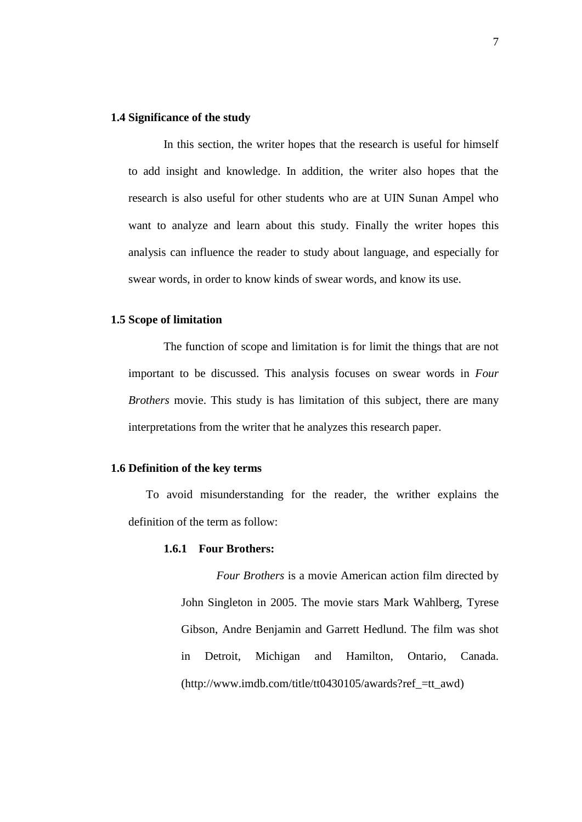#### **1.4 Significance of the study**

In this section, the writer hopes that the research is useful for himself to add insight and knowledge. In addition, the writer also hopes that the research is also useful for other students who are at UIN Sunan Ampel who want to analyze and learn about this study. Finally the writer hopes this analysis can influence the reader to study about language, and especially for swear words, in order to know kinds of swear words, and know its use.

## **1.5 Scope of limitation**

The function of scope and limitation is for limit the things that are not important to be discussed. This analysis focuses on swear words in *Four Brothers* movie. This study is has limitation of this subject, there are many interpretations from the writer that he analyzes this research paper.

## **1.6 Definition of the key terms**

To avoid misunderstanding for the reader, the writher explains the definition of the term as follow:

#### **1.6.1 Four Brothers:**

*Four Brothers* is a movie American [action film](http://en.wikipedia.org/wiki/Action_film) directed by [John Singleton](http://en.wikipedia.org/wiki/John_Singleton) in 2005. The movie stars [Mark Wahlberg,](http://en.wikipedia.org/wiki/Mark_Wahlberg) [Tyrese](http://en.wikipedia.org/wiki/Tyrese_Gibson)  [Gibson,](http://en.wikipedia.org/wiki/Tyrese_Gibson) [Andre Benjamin](http://en.wikipedia.org/wiki/Andre_3000) and [Garrett Hedlund.](http://en.wikipedia.org/wiki/Garrett_Hedlund) The film was shot in [Detroit, Michigan](http://en.wikipedia.org/wiki/Detroit,_Michigan) and [Hamilton, Ontario,](http://en.wikipedia.org/wiki/Hamilton,_Ontario) [Canada.](http://en.wikipedia.org/wiki/Canada) [\(http://www.imdb.com/title/tt0430105/awards?ref\\_=tt\\_awd\)](http://www.imdb.com/title/tt0430105/awards?ref_=tt_awd)